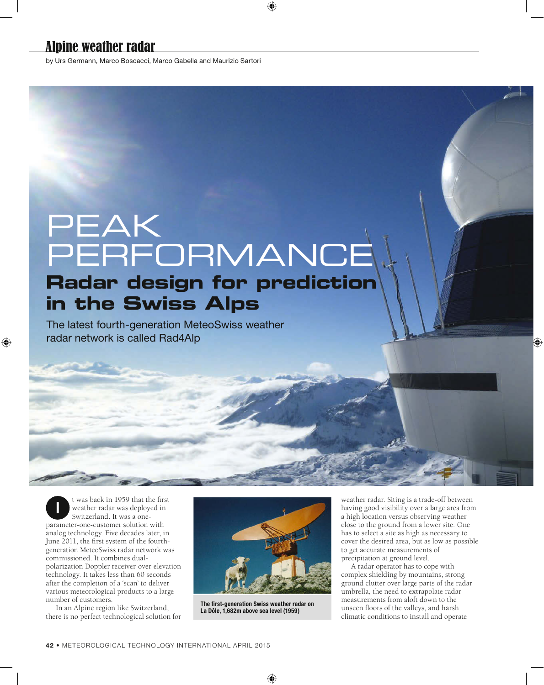## Alpine weather radar

by Urs Germann, Marco Boscacci, Marco Gabella and Maurizio Sartori

# PEAK PERFORMANCE **Radar design for prediction in the Swiss Alps**

The latest fourth-generation MeteoSwiss weather radar network is called Rad4Alp

I t was back in 1959 that the first<br>weather radar was deployed in<br>Switzgrland It was a one Switzerland. It was a oneparameter-one-customer solution with analog technology. Five decades later, in June 2011, the first system of the fourthgeneration MeteoSwiss radar network was commissioned. It combines dualpolarization Doppler receiver-over-elevation technology. It takes less than 60 seconds after the completion of a 'scan' to deliver various meteorological products to a large number of customers.

In an Alpine region like Switzerland, there is no perfect technological solution for



**The first-generation Swiss weather radar on La Dôle, 1,682m above sea level (1959)**

weather radar. Siting is a trade-off between having good visibility over a large area from a high location versus observing weather close to the ground from a lower site. One has to select a site as high as necessary to cover the desired area, but as low as possible to get accurate measurements of precipitation at ground level.

A radar operator has to cope with complex shielding by mountains, strong ground clutter over large parts of the radar umbrella, the need to extrapolate radar measurements from aloft down to the unseen floors of the valleys, and harsh climatic conditions to install and operate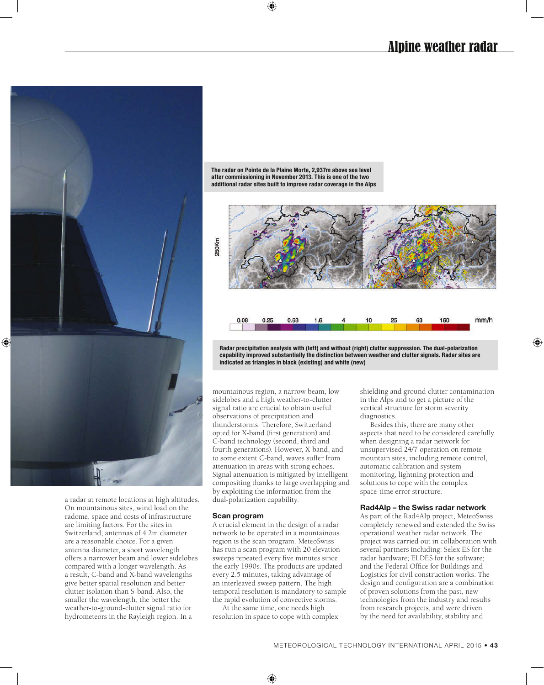

a radar at remote locations at high altitudes. On mountainous sites, wind load on the radome, space and costs of infrastructure are limiting factors. For the sites in Switzerland, antennas of 4.2m diameter are a reasonable choice. For a given antenna diameter, a short wavelength offers a narrower beam and lower sidelobes compared with a longer wavelength. As a result, C-band and X-band wavelengths give better spatial resolution and better clutter isolation than S-band. Also, the smaller the wavelength, the better the weather-to-ground-clutter signal ratio for hydrometeors in the Rayleigh region. In a

**The radar on Pointe de la Plaine Morte, 2,937m above sea level after commissioning in November 2013. This is one of the two additional radar sites built to improve radar coverage in the Alps** 



**Radar precipitation analysis with (left) and without (right) clutter suppression. The dual-polarization capability improved substantially the distinction between weather and clutter signals. Radar sites are indicated as triangles in black (existing) and white (new)** 

mountainous region, a narrow beam, low sidelobes and a high weather-to-clutter signal ratio are crucial to obtain useful observations of precipitation and thunderstorms. Therefore, Switzerland opted for X-band (first generation) and C-band technology (second, third and fourth generations). However, X-band, and to some extent C-band, waves suffer from attenuation in areas with strong echoes. Signal attenuation is mitigated by intelligent compositing thanks to large overlapping and by exploiting the information from the dual-polarization capability.

#### **Scan program**

A crucial element in the design of a radar network to be operated in a mountainous region is the scan program. MeteoSwiss has run a scan program with 20 elevation sweeps repeated every five minutes since the early 1990s. The products are updated every 2.5 minutes, taking advantage of an interleaved sweep pattern. The high temporal resolution is mandatory to sample the rapid evolution of convective storms.

At the same time, one needs high resolution in space to cope with complex shielding and ground clutter contamination in the Alps and to get a picture of the vertical structure for storm severity diagnostics.

Besides this, there are many other aspects that need to be considered carefully when designing a radar network for unsupervised 24/7 operation on remote mountain sites, including remote control, automatic calibration and system monitoring, lightning protection and solutions to cope with the complex space-time error structure.

#### **Rad4Alp – the Swiss radar network**

As part of the Rad4Alp project, MeteoSwiss completely renewed and extended the Swiss operational weather radar network. The project was carried out in collaboration with several partners including: Selex ES for the radar hardware; ELDES for the software; and the Federal Office for Buildings and Logistics for civil construction works. The design and configuration are a combination of proven solutions from the past, new technologies from the industry and results from research projects, and were driven by the need for availability, stability and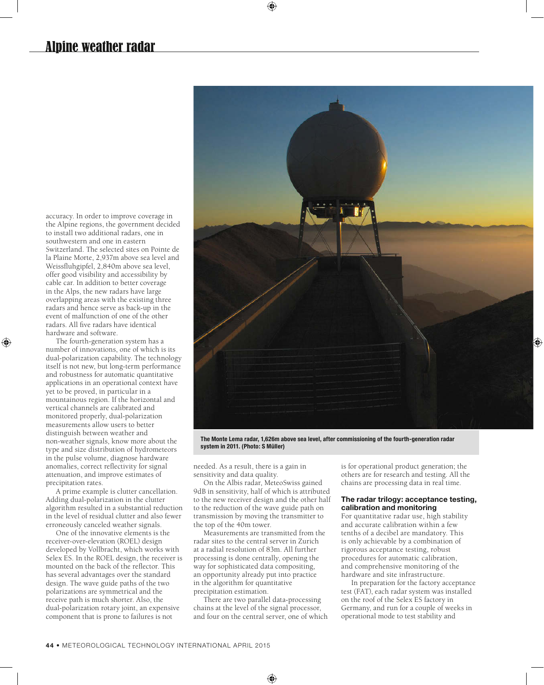accuracy. In order to improve coverage in the Alpine regions, the government decided to install two additional radars, one in southwestern and one in eastern Switzerland. The selected sites on Pointe de la Plaine Morte, 2,937m above sea level and Weissfluhgipfel, 2,840m above sea level, offer good visibility and accessibility by cable car. In addition to better coverage in the Alps, the new radars have large overlapping areas with the existing three radars and hence serve as back-up in the event of malfunction of one of the other radars. All five radars have identical hardware and software.

The fourth-generation system has a number of innovations, one of which is its dual-polarization capability. The technology itself is not new, but long-term performance and robustness for automatic quantitative applications in an operational context have yet to be proved, in particular in a mountainous region. If the horizontal and vertical channels are calibrated and monitored properly, dual-polarization measurements allow users to better distinguish between weather and non-weather signals, know more about the type and size distribution of hydrometeors in the pulse volume, diagnose hardware anomalies, correct reflectivity for signal attenuation, and improve estimates of precipitation rates.

A prime example is clutter cancellation. Adding dual-polarization in the clutter algorithm resulted in a substantial reduction in the level of residual clutter and also fewer erroneously canceled weather signals.

One of the innovative elements is the receiver-over-elevation (ROEL) design developed by Vollbracht, which works with Selex ES. In the ROEL design, the receiver is mounted on the back of the reflector. This has several advantages over the standard design. The wave guide paths of the two polarizations are symmetrical and the receive path is much shorter. Also, the dual-polarization rotary joint, an expensive component that is prone to failures is not



**The Monte Lema radar, 1,626m above sea level, after commissioning of the fourth-generation radar system in 2011. (Photo: S Müller)**

needed. As a result, there is a gain in sensitivity and data quality.

On the Albis radar, MeteoSwiss gained 9dB in sensitivity, half of which is attributed to the new receiver design and the other half to the reduction of the wave guide path on transmission by moving the transmitter to the top of the 40m tower.

Measurements are transmitted from the radar sites to the central server in Zurich at a radial resolution of 83m. All further processing is done centrally, opening the way for sophisticated data compositing, an opportunity already put into practice in the algorithm for quantitative precipitation estimation.

There are two parallel data-processing chains at the level of the signal processor, and four on the central server, one of which is for operational product generation; the others are for research and testing. All the chains are processing data in real time.

### **The radar trilogy: acceptance testing, calibration and monitoring**

For quantitative radar use, high stability and accurate calibration within a few tenths of a decibel are mandatory. This is only achievable by a combination of rigorous acceptance testing, robust procedures for automatic calibration, and comprehensive monitoring of the hardware and site infrastructure.

In preparation for the factory acceptance test (FAT), each radar system was installed on the roof of the Selex ES factory in Germany, and run for a couple of weeks in operational mode to test stability and